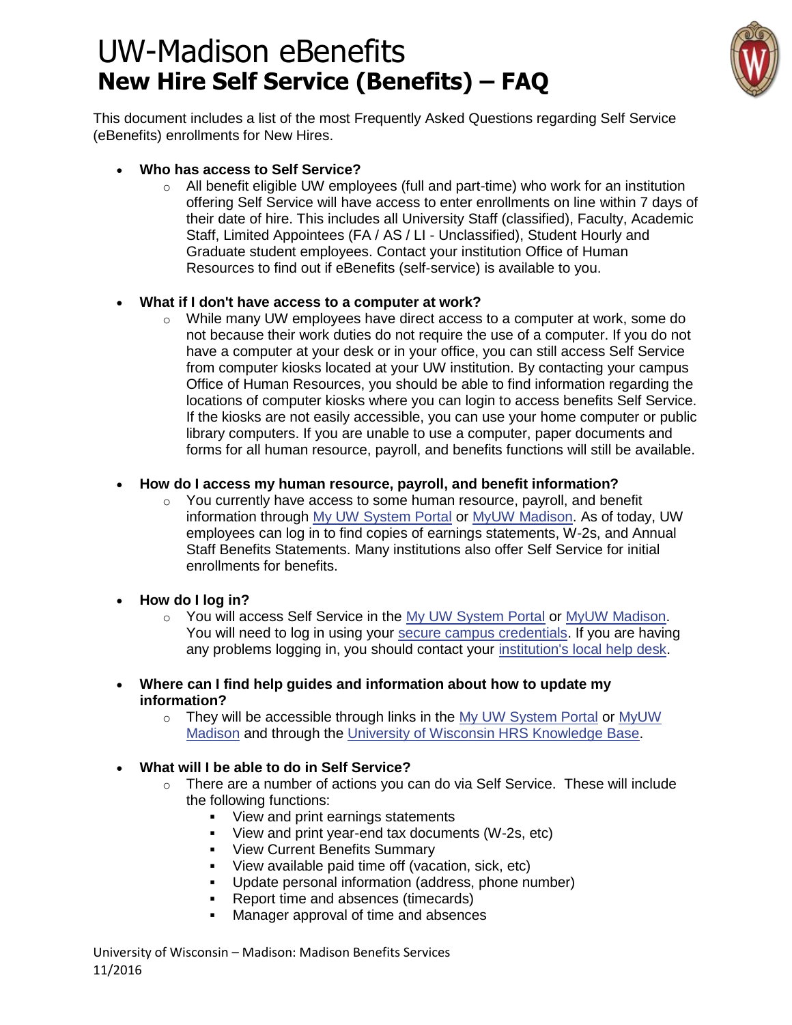## UW-Madison eBenefits **New Hire Self Service (Benefits) – FAQ**



This document includes a list of the most Frequently Asked Questions regarding Self Service (eBenefits) enrollments for New Hires.

- **Who has access to Self Service?**
	- $\circ$  All benefit eligible UW employees (full and part-time) who work for an institution offering Self Service will have access to enter enrollments on line within 7 days of their date of hire. This includes all University Staff (classified), Faculty, Academic Staff, Limited Appointees (FA / AS / LI - Unclassified), Student Hourly and Graduate student employees. Contact your institution Office of Human Resources to find out if eBenefits (self-service) is available to you.

### **What if I don't have access to a computer at work?**

 $\circ$  While many UW employees have direct access to a computer at work, some do not because their work duties do not require the use of a computer. If you do not have a computer at your desk or in your office, you can still access Self Service from computer kiosks located at your UW institution. By contacting your campus Office of Human Resources, you should be able to find information regarding the locations of computer kiosks where you can login to access benefits Self Service. If the kiosks are not easily accessible, you can use your home computer or public library computers. If you are unable to use a computer, paper documents and forms for all human resource, payroll, and benefits functions will still be available.

### **How do I access my human resource, payroll, and benefit information?**

- $\circ$  You currently have access to some human resource, payroll, and benefit information through [My UW System Portal](http://my.wisconsin.edu/) or [MyUW Madison.](https://my.wisc.edu/) As of today, UW employees can log in to find copies of earnings statements, W-2s, and Annual Staff Benefits Statements. Many institutions also offer Self Service for initial enrollments for benefits.
- **How do I log in?**
	- $\circ$  You will access Self Service in the [My UW System Portal](http://my.wisconsin.edu/) or [MyUW Madison.](https://my.wisc.edu/) You will need to log in using your [secure campus credentials.](https://helpdesk.wisc.edu/myuwsystem/page.php?id=5500) If you are having any problems logging in, you should contact your [institution's local help desk.](https://helpdesk.wisc.edu/helpdesk/page.php?id=5427)
- **Where can I find help guides and information about how to update my information?** 
	- $\circ$  They will be accessible through links in the [My UW System Portal](http://my.wisconsin.edu/) or MyUW [Madison](https://my.wisc.edu/) and through the [University of Wisconsin HRS Knowledge Base.](http://kb.wisc.edu/hrs)

#### **What will I be able to do in Self Service?**

- o There are a number of actions you can do via Self Service. These will include the following functions:
	- View and print earnings statements
	- View and print year-end tax documents (W-2s, etc)
	- **View Current Benefits Summary**
	- View available paid time off (vacation, sick, etc)
	- Update personal information (address, phone number)
	- Report time and absences (timecards)
	- Manager approval of time and absences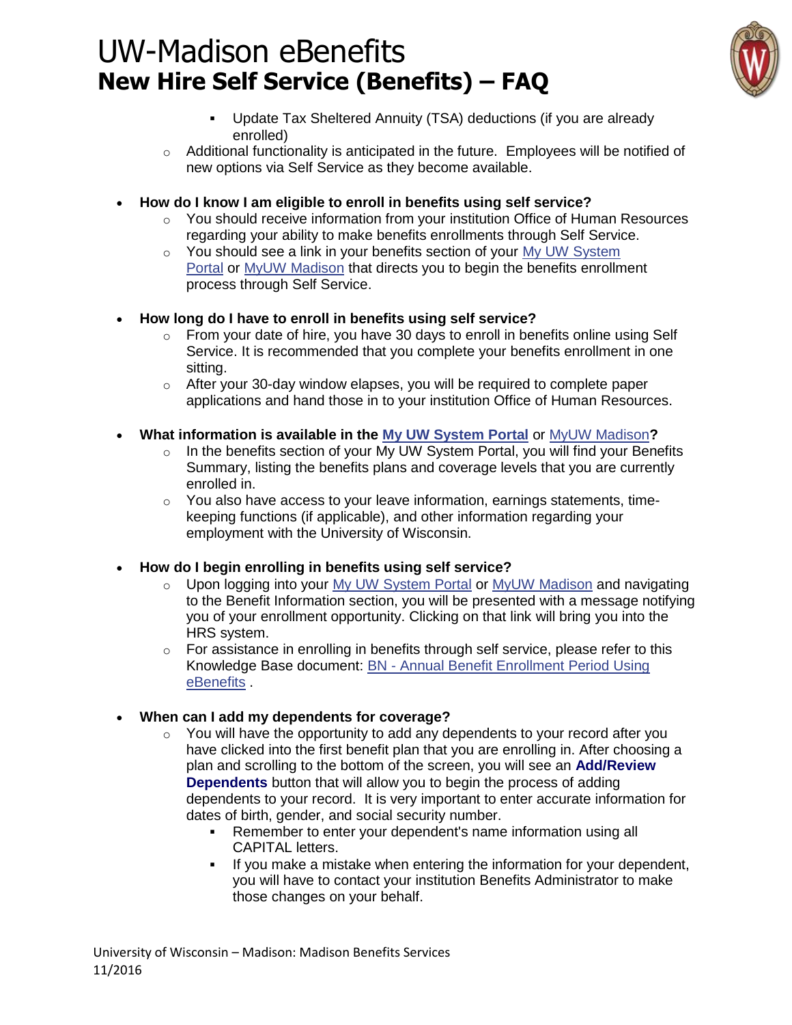# UW-Madison eBenefits **New Hire Self Service (Benefits) – FAQ**



- Update Tax Sheltered Annuity (TSA) deductions (if you are already enrolled)
- $\circ$  Additional functionality is anticipated in the future. Employees will be notified of new options via Self Service as they become available.
- **How do I know I am eligible to enroll in benefits using self service?**
	- $\circ$  You should receive information from your institution Office of Human Resources regarding your ability to make benefits enrollments through Self Service.
	- o You should see a link in your benefits section of your [My UW System](http://my.wisconsin.edu/)  [Portal](http://my.wisconsin.edu/) or [MyUW Madison](https://my.wisc.edu/) that directs you to begin the benefits enrollment process through Self Service.
- **How long do I have to enroll in benefits using self service?**
	- $\circ$  From your date of hire, you have 30 days to enroll in benefits online using Self Service. It is recommended that you complete your benefits enrollment in one sitting.
	- o After your 30-day window elapses, you will be required to complete paper applications and hand those in to your institution Office of Human Resources.
- **What information is available in the [My UW System Portal](http://my.wisconsin.edu/)** or [MyUW Madison](https://my.wisc.edu/)**?**
	- o In the benefits section of your My UW System Portal, you will find your Benefits Summary, listing the benefits plans and coverage levels that you are currently enrolled in.
	- $\circ$  You also have access to your leave information, earnings statements, timekeeping functions (if applicable), and other information regarding your employment with the University of Wisconsin.
- **How do I begin enrolling in benefits using self service?**
	- o Upon logging into your [My UW System Portal](http://my.wisconsin.edu/) or [MyUW Madison](https://my.wisc.edu/) and navigating to the Benefit Information section, you will be presented with a message notifying you of your enrollment opportunity. Clicking on that link will bring you into the HRS system.
	- $\circ$  For assistance in enrolling in benefits through self service, please refer to this Knowledge Base document: BN - [Annual Benefit Enrollment Period Using](https://kb.wisc.edu/hrs/page.php?id=20420)  [eBenefits](https://kb.wisc.edu/hrs/page.php?id=20420) .
- **When can I add my dependents for coverage?**
	- $\circ$  You will have the opportunity to add any dependents to your record after you have clicked into the first benefit plan that you are enrolling in. After choosing a plan and scrolling to the bottom of the screen, you will see an **Add/Review Dependents** button that will allow you to begin the process of adding dependents to your record. It is very important to enter accurate information for dates of birth, gender, and social security number.
		- Remember to enter your dependent's name information using all CAPITAL letters.
		- If you make a mistake when entering the information for your dependent, you will have to contact your institution Benefits Administrator to make those changes on your behalf.